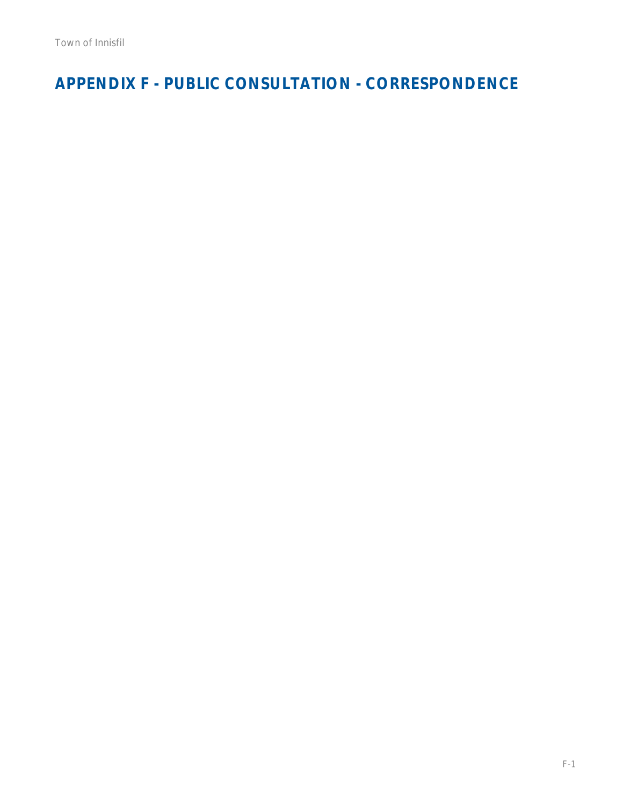**APPENDIX F - PUBLIC CONSULTATION - CORRESPONDENCE**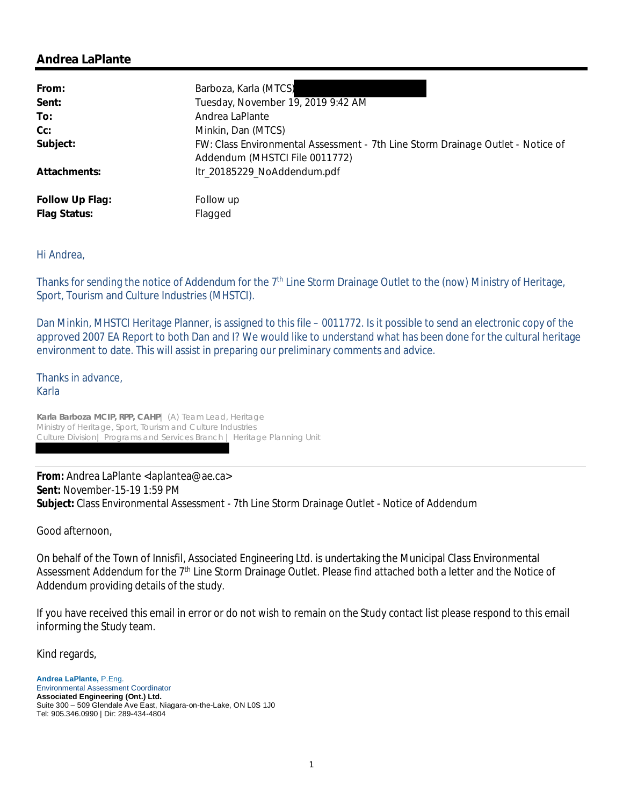| From:           | Barboza, Karla (MTCS)                                                           |
|-----------------|---------------------------------------------------------------------------------|
| Sent:           | Tuesday, November 19, 2019 9:42 AM                                              |
| To:             | Andrea LaPlante                                                                 |
| Cc:             | Minkin, Dan (MTCS)                                                              |
| Subject:        | FW: Class Environmental Assessment - 7th Line Storm Drainage Outlet - Notice of |
|                 | Addendum (MHSTCI File 0011772)                                                  |
| Attachments:    | ltr_20185229_NoAddendum.pdf                                                     |
| Follow Up Flag: | Follow up                                                                       |
| Flag Status:    | Flagged                                                                         |

#### Hi Andrea,

Thanks for sending the notice of Addendum for the 7<sup>th</sup> Line Storm Drainage Outlet to the (now) Ministry of Heritage, Sport, Tourism and Culture Industries (MHSTCI).

Dan Minkin, MHSTCI Heritage Planner, is assigned to this file – 0011772. Is it possible to send an electronic copy of the approved 2007 EA Report to both Dan and I? We would like to understand what has been done for the cultural heritage environment to date. This will assist in preparing our preliminary comments and advice.

Thanks in advance, Karla

**Karla Barboza MCIP, RPP, CAHP**| (A) Team Lead, Heritage Ministry of Heritage, Sport, Tourism and Culture Industries Culture Division| Programs and Services Branch | Heritage Planning Unit

**From:** Andrea LaPlante <laplantea@ae.ca> **Sent:** November-15-19 1:59 PM **Subject:** Class Environmental Assessment - 7th Line Storm Drainage Outlet - Notice of Addendum

Good afternoon,

On behalf of the Town of Innisfil, Associated Engineering Ltd. is undertaking the Municipal Class Environmental Assessment Addendum for the 7<sup>th</sup> Line Storm Drainage Outlet. Please find attached both a letter and the Notice of Addendum providing details of the study.

If you have received this email in error or do not wish to remain on the Study contact list please respond to this email informing the Study team.

Kind regards,

**Andrea LaPlante,** P.Eng. Environmental Assessment Coordinator **Associated Engineering (Ont.) Ltd.** Suite 300 – 509 Glendale Ave East, Niagara-on-the-Lake, ON L0S 1J0 Tel: 905.346.0990 | Dir: 289-434-4804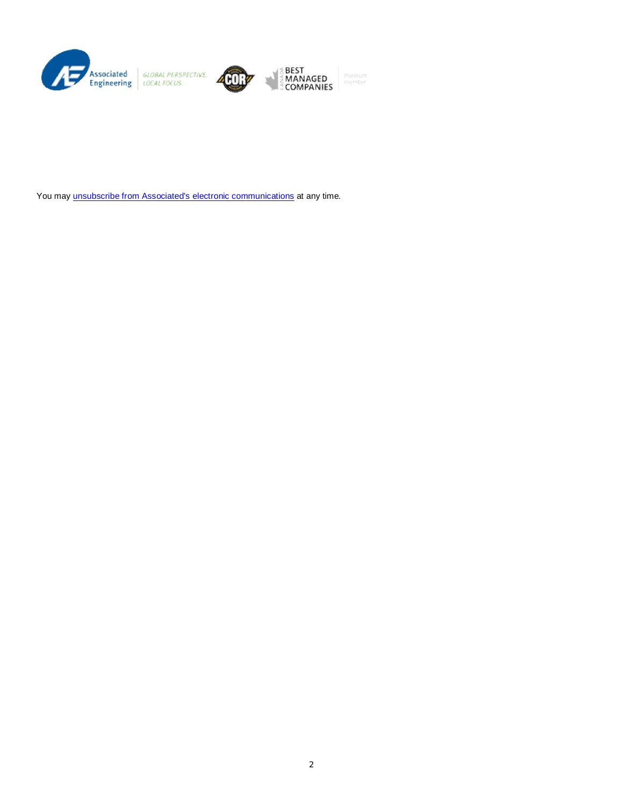

You may unsubscribe from Associated's electronic communications at any time.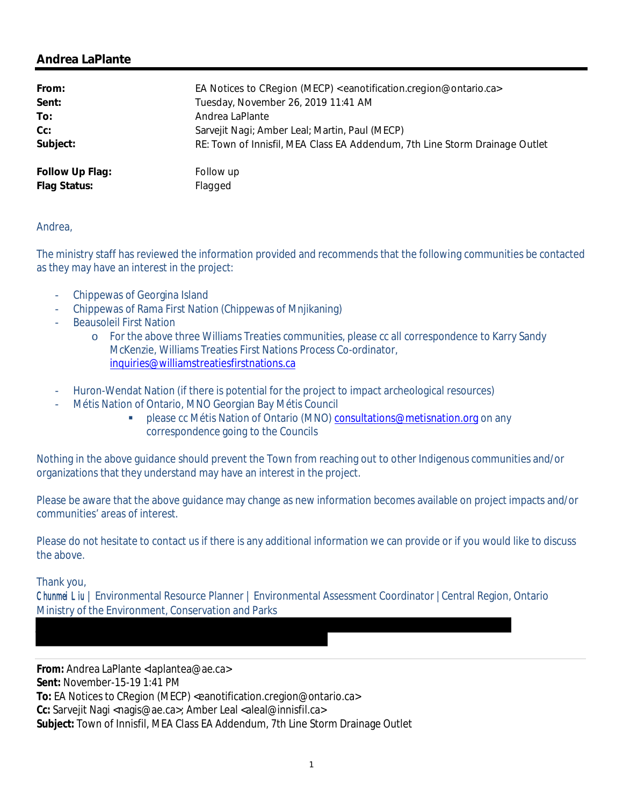| From:           | EA Notices to CRegion (MECP) <eanotification.cregion@ontario.ca></eanotification.cregion@ontario.ca> |
|-----------------|------------------------------------------------------------------------------------------------------|
| Sent:           | Tuesday, November 26, 2019 11:41 AM                                                                  |
| To:             | Andrea LaPlante                                                                                      |
| Cc:             | Sarvejit Nagi; Amber Leal; Martin, Paul (MECP)                                                       |
| Subject:        | RE: Town of Innisfil, MEA Class EA Addendum, 7th Line Storm Drainage Outlet                          |
| Follow Up Flag: | Follow up                                                                                            |
| Flag Status:    | Flagged                                                                                              |

Andrea,

The ministry staff has reviewed the information provided and recommends that the following communities be contacted as they may have an interest in the project:

- Chippewas of Georgina Island
- Chippewas of Rama First Nation (Chippewas of Mnjikaning)
- **Beausoleil First Nation** 
	- o For the above three Williams Treaties communities, please cc all correspondence to Karry Sandy McKenzie, Williams Treaties First Nations Process Co-ordinator, inquiries@williamstreatiesfirstnations.ca
- Huron-Wendat Nation (if there is potential for the project to impact archeological resources)
- Métis Nation of Ontario, MNO Georgian Bay Métis Council
	- § please cc Métis Nation of Ontario (MNO) consultations@metisnation.org on any correspondence going to the Councils

Nothing in the above guidance should prevent the Town from reaching out to other Indigenous communities and/or organizations that they understand may have an interest in the project.

Please be aware that the above guidance may change as new information becomes available on project impacts and/or communities' areas of interest.

Please do not hesitate to contact us if there is any additional information we can provide or if you would like to discuss the above.

Thank you,

Chunmei Liu | Environmental Resource Planner | Environmental Assessment Coordinator |Central Region, Ontario Ministry of the Environment, Conservation and Parks

**From:** Andrea LaPlante <laplantea@ae.ca> **Sent:** November-15-19 1:41 PM **To:** EA Notices to CRegion (MECP) <eanotification.cregion@ontario.ca> Cc: Sarvejit Nagi <nagis@ae.ca>; Amber Leal <aleal@innisfil.ca> **Subject:** Town of Innisfil, MEA Class EA Addendum, 7th Line Storm Drainage Outlet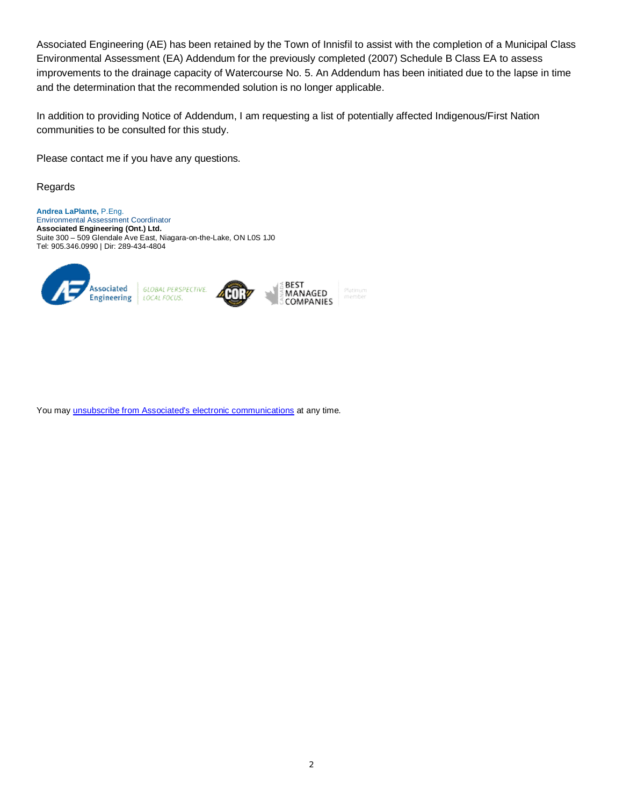Associated Engineering (AE) has been retained by the Town of Innisfil to assist with the completion of a Municipal Class Environmental Assessment (EA) Addendum for the previously completed (2007) Schedule B Class EA to assess improvements to the drainage capacity of Watercourse No. 5. An Addendum has been initiated due to the lapse in time and the determination that the recommended solution is no longer applicable.

In addition to providing Notice of Addendum, I am requesting a list of potentially affected Indigenous/First Nation communities to be consulted for this study.

Please contact me if you have any questions.

Regards

**Andrea LaPlante,** P.Eng. Environmental Assessment Coordinator **Associated Engineering (Ont.) Ltd.** Suite 300 – 509 Glendale Ave East, Niagara-on-the-Lake, ON L0S 1J0 Tel: 905.346.0990 | Dir: 289-434-4804



You may unsubscribe from Associated's electronic communications at any time.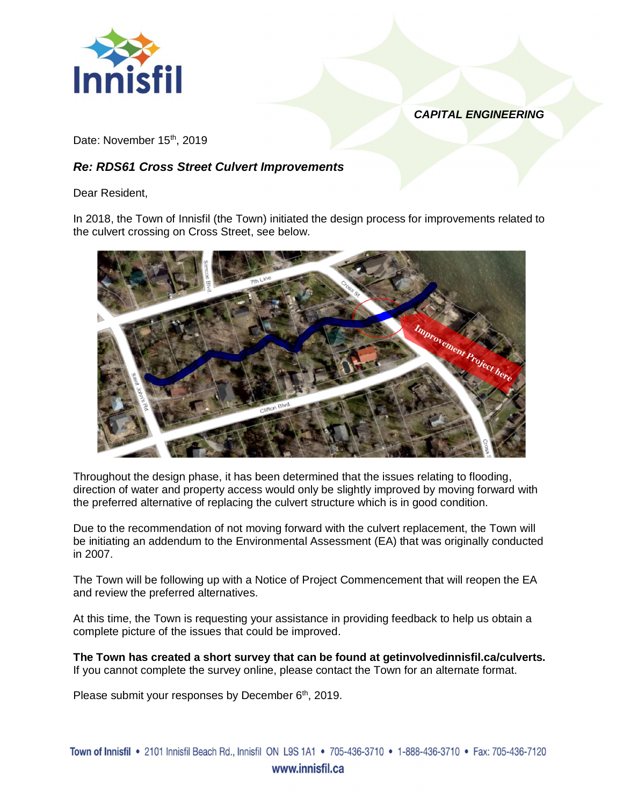

*CAPITAL ENGINEERING*

Date: November 15<sup>th</sup>, 2019

# *Re: RDS61 Cross Street Culvert Improvements*

Dear Resident,

In 2018, the Town of Innisfil (the Town) initiated the design process for improvements related to the culvert crossing on Cross Street, see below.



Throughout the design phase, it has been determined that the issues relating to flooding, direction of water and property access would only be slightly improved by moving forward with the preferred alternative of replacing the culvert structure which is in good condition.

Due to the recommendation of not moving forward with the culvert replacement, the Town will be initiating an addendum to the Environmental Assessment (EA) that was originally conducted in 2007.

The Town will be following up with a Notice of Project Commencement that will reopen the EA and review the preferred alternatives.

At this time, the Town is requesting your assistance in providing feedback to help us obtain a complete picture of the issues that could be improved.

**The Town has created a short survey that can be found at getinvolvedinnisfil.ca/culverts.** If you cannot complete the survey online, please contact the Town for an alternate format.

Please submit your responses by December 6<sup>th</sup>, 2019.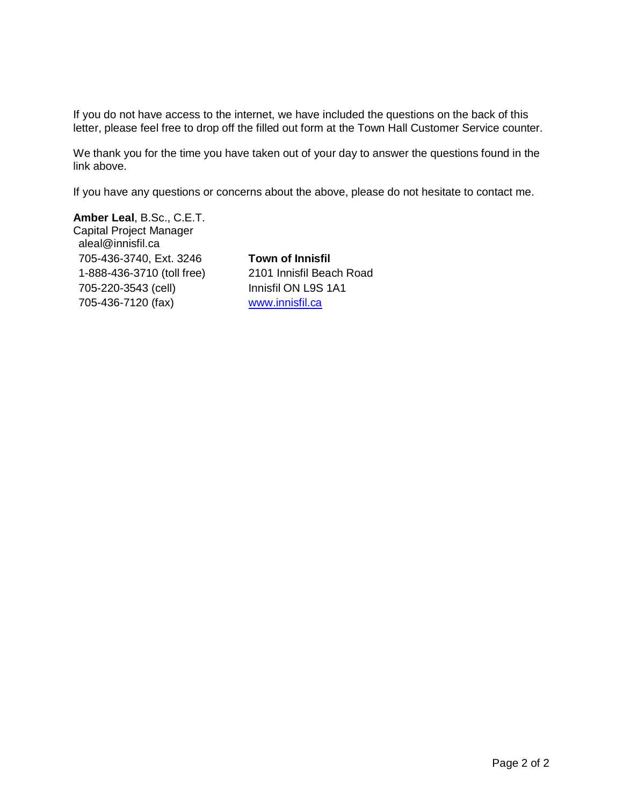If you do not have access to the internet, we have included the questions on the back of this letter, please feel free to drop off the filled out form at the Town Hall Customer Service counter.

We thank you for the time you have taken out of your day to answer the questions found in the link above.

If you have any questions or concerns about the above, please do not hesitate to contact me.

**Amber Leal**, B.Sc., C.E.T. Capital Project Manager aleal@innisfil.ca 705-436-3740, Ext. 3246 1-888-436-3710 (toll free) 705-220-3543 (cell) 705-436-7120 (fax)

**Town of Innisfil** 2101 Innisfil Beach Road Innisfil ON L9S 1A1 www.innisfil.ca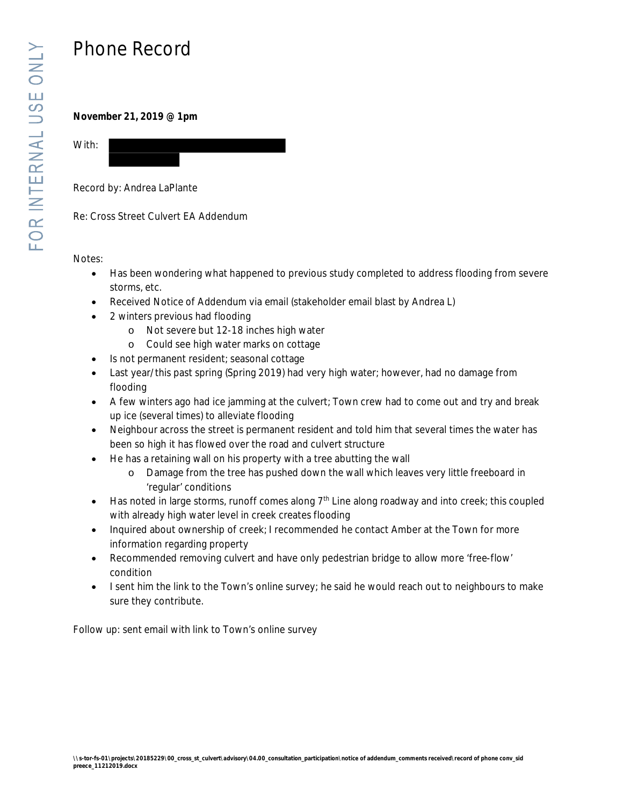# Phone Record

**November 21, 2019 @ 1pm**



Record by: Andrea LaPlante

Re: Cross Street Culvert EA Addendum

Notes:

- Has been wondering what happened to previous study completed to address flooding from severe storms, etc.
- Received Notice of Addendum via email (stakeholder email blast by Andrea L)
- 2 winters previous had flooding
	- o Not severe but 12-18 inches high water
	- o Could see high water marks on cottage
- · Is not permanent resident; seasonal cottage
- Last year/this past spring (Spring 2019) had very high water; however, had no damage from flooding
- · A few winters ago had ice jamming at the culvert; Town crew had to come out and try and break up ice (several times) to alleviate flooding
- · Neighbour across the street is permanent resident and told him that several times the water has been so high it has flowed over the road and culvert structure
- · He has a retaining wall on his property with a tree abutting the wall
	- o Damage from the tree has pushed down the wall which leaves very little freeboard in 'regular' conditions
- $\bullet$  Has noted in large storms, runoff comes along  $7<sup>th</sup>$  Line along roadway and into creek; this coupled with already high water level in creek creates flooding
- · Inquired about ownership of creek; I recommended he contact Amber at the Town for more information regarding property
- · Recommended removing culvert and have only pedestrian bridge to allow more 'free-flow' condition
- · I sent him the link to the Town's online survey; he said he would reach out to neighbours to make sure they contribute.

Follow up: sent email with link to Town's online survey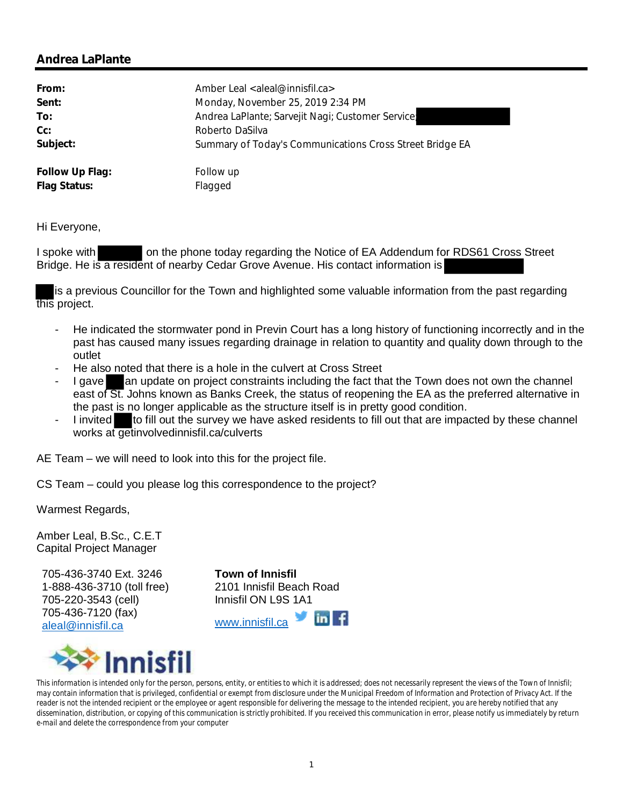| From:           | Amber Leal <aleal@innisfil.ca></aleal@innisfil.ca>       |
|-----------------|----------------------------------------------------------|
| Sent:           | Monday, November 25, 2019 2:34 PM                        |
| To:             | Andrea LaPlante; Sarvejit Nagi; Customer Service         |
| Cc:             | Roberto DaSilva                                          |
| Subject:        | Summary of Today's Communications Cross Street Bridge EA |
| Follow Up Flag: | Follow up                                                |
| Flag Status:    | Flagged                                                  |

Hi Everyone,

I spoke with on the phone today regarding the Notice of EA Addendum for RDS61 Cross Street Bridge. He is a resident of nearby Cedar Grove Avenue. His contact information is

is a previous Councillor for the Town and highlighted some valuable information from the past regarding this project.

- He indicated the stormwater pond in Previn Court has a long history of functioning incorrectly and in the past has caused many issues regarding drainage in relation to quantity and quality down through to the outlet
- He also noted that there is a hole in the culvert at Cross Street
- I gave an update on project constraints including the fact that the Town does not own the channel east of St. Johns known as Banks Creek, the status of reopening the EA as the preferred alternative in the past is no longer applicable as the structure itself is in pretty good condition.
- I invited to fill out the survey we have asked residents to fill out that are impacted by these channel works at getinvolvedinnisfil.ca/culverts

AE Team – we will need to look into this for the project file.

CS Team – could you please log this correspondence to the project?

Warmest Regards,

Amber Leal, B.Sc., C.E.T Capital Project Manager

705-436-3740 Ext. 3246 1-888-436-3710 (toll free) 705-220-3543 (cell) 705-436-7120 (fax) aleal@innisfil.ca

**Town of Innisfil** 2101 Innisfil Beach Road Innisfil ON L9S 1A1





*This information is intended only for the person, persons, entity, or entities to which it is addressed; does not necessarily represent the views of the Town of Innisfil; may contain information that is privileged, confidential or exempt from disclosure under the Municipal Freedom of Information and Protection of Privacy Act. If the reader is not the intended recipient or the employee or agent responsible for delivering the message to the intended recipient, you are hereby notified that any dissemination, distribution, or copying of this communication is strictly prohibited. If you received this communication in error, please notify us immediately by return e-mail and delete the correspondence from your computer*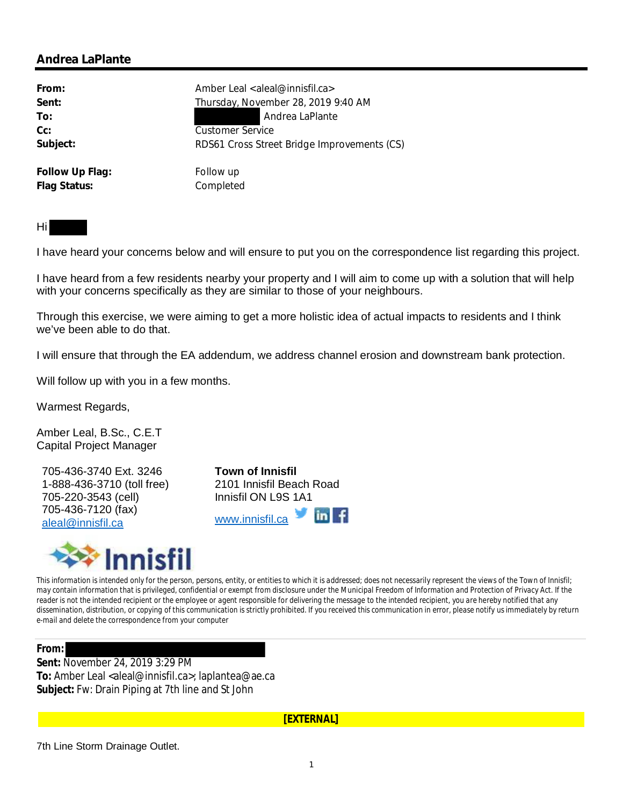| From:           | Amber Leal <aleal@innisfil.ca></aleal@innisfil.ca> |
|-----------------|----------------------------------------------------|
| Sent:           | Thursday, November 28, 2019 9:40 AM                |
| To:             | Andrea LaPlante                                    |
| $Cc$ :          | <b>Customer Service</b>                            |
| Subject:        | RDS61 Cross Street Bridge Improvements (CS)        |
|                 |                                                    |
| Follow Up Flag: | Follow up                                          |
| Flag Status:    | Completed                                          |

Hi

I have heard your concerns below and will ensure to put you on the correspondence list regarding this project.

I have heard from a few residents nearby your property and I will aim to come up with a solution that will help with your concerns specifically as they are similar to those of your neighbours.

Through this exercise, we were aiming to get a more holistic idea of actual impacts to residents and I think we've been able to do that.

I will ensure that through the EA addendum, we address channel erosion and downstream bank protection.

Will follow up with you in a few months.

Warmest Regards,

Amber Leal, B.Sc., C.E.T Capital Project Manager

705-436-3740 Ext. 3246 1-888-436-3710 (toll free) 705-220-3543 (cell) 705-436-7120 (fax) aleal@innisfil.ca

**Town of Innisfil** 2101 Innisfil Beach Road Innisfil ON L9S 1A1 www.innisfil.ca



*This information is intended only for the person, persons, entity, or entities to which it is addressed; does not necessarily represent the views of the Town of Innisfil; may contain information that is privileged, confidential or exempt from disclosure under the Municipal Freedom of Information and Protection of Privacy Act. If the reader is not the intended recipient or the employee or agent responsible for delivering the message to the intended recipient, you are hereby notified that any dissemination, distribution, or copying of this communication is strictly prohibited. If you received this communication in error, please notify us immediately by return e-mail and delete the correspondence from your computer*

**From:**

**Sent:** November 24, 2019 3:29 PM To: Amber Leal <aleal@innisfil.ca>; laplantea@ae.ca **Subject:** Fw: Drain Piping at 7th line and St John

**[EXTERNAL]**

7th Line Storm Drainage Outlet.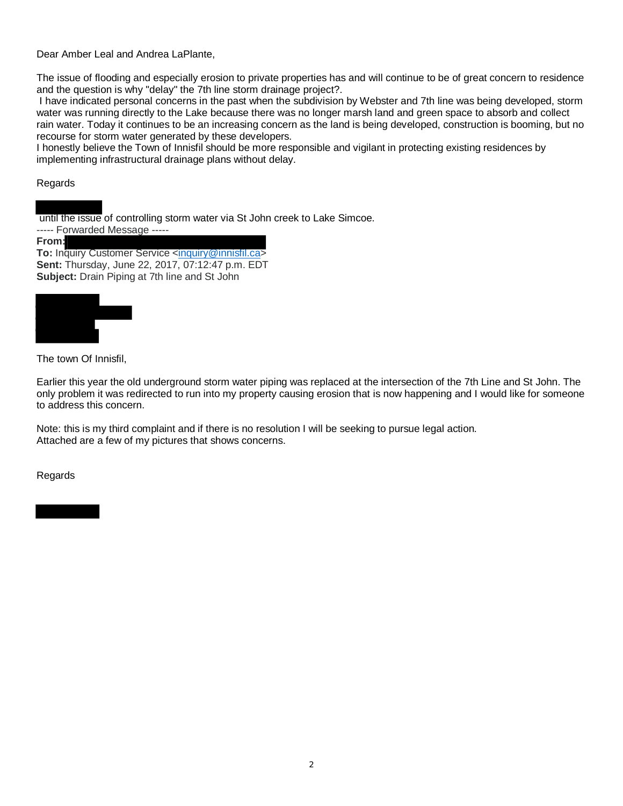Dear Amber Leal and Andrea LaPlante,

The issue of flooding and especially erosion to private properties has and will continue to be of great concern to residence and the question is why "delay" the 7th line storm drainage project?.

 I have indicated personal concerns in the past when the subdivision by Webster and 7th line was being developed, storm water was running directly to the Lake because there was no longer marsh land and green space to absorb and collect rain water. Today it continues to be an increasing concern as the land is being developed, construction is booming, but no recourse for storm water generated by these developers.

I honestly believe the Town of Innisfil should be more responsible and vigilant in protecting existing residences by implementing infrastructural drainage plans without delay.

#### Regards

 until the issue of controlling storm water via St John creek to Lake Simcoe. ----- Forwarded Message -----

**From:**

**To:** Inquiry Customer Service <inquiry@innisfil.ca> **Sent:** Thursday, June 22, 2017, 07:12:47 p.m. EDT **Subject:** Drain Piping at 7th line and St John



The town Of Innisfil,

Earlier this year the old underground storm water piping was replaced at the intersection of the 7th Line and St John. The only problem it was redirected to run into my property causing erosion that is now happening and I would like for someone to address this concern.

Note: this is my third complaint and if there is no resolution I will be seeking to pursue legal action. Attached are a few of my pictures that shows concerns.

Regards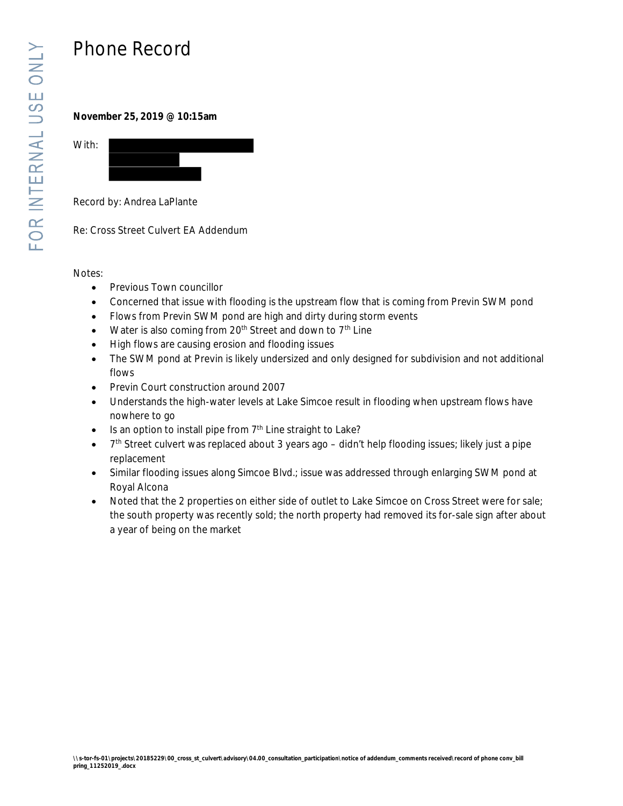# Phone Record

**November 25, 2019 @ 10:15am**



Record by: Andrea LaPlante

Re: Cross Street Culvert EA Addendum

Notes:

- Previous Town councillor
- · Concerned that issue with flooding is the upstream flow that is coming from Previn SWM pond
- · Flows from Previn SWM pond are high and dirty during storm events
- Water is also coming from  $20<sup>th</sup>$  Street and down to  $7<sup>th</sup>$  Line
- · High flows are causing erosion and flooding issues
- The SWM pond at Previn is likely undersized and only designed for subdivision and not additional flows
- · Previn Court construction around 2007
- · Understands the high-water levels at Lake Simcoe result in flooding when upstream flows have nowhere to go
- $\bullet$  Is an option to install pipe from  $7<sup>th</sup>$  Line straight to Lake?
- $\bullet$  7<sup>th</sup> Street culvert was replaced about 3 years ago didn't help flooding issues; likely just a pipe replacement
- · Similar flooding issues along Simcoe Blvd.; issue was addressed through enlarging SWM pond at Royal Alcona
- · Noted that the 2 properties on either side of outlet to Lake Simcoe on Cross Street were for sale; the south property was recently sold; the north property had removed its for-sale sign after about a year of being on the market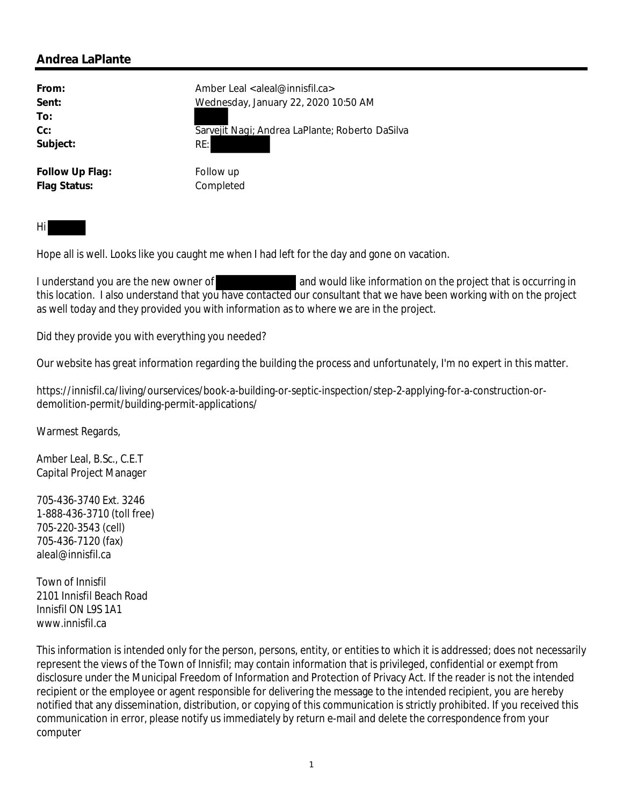| From:           | Amber Leal <aleal@innisfil.ca></aleal@innisfil.ca> |
|-----------------|----------------------------------------------------|
| Sent:           | Wednesday, January 22, 2020 10:50 AM               |
| To:             |                                                    |
| Cc:             | Sarvejit Nagi; Andrea LaPlante; Roberto DaSilva    |
| Subject:        | RE:                                                |
| Follow Up Flag: | Follow up                                          |

Hi

Hope all is well. Looks like you caught me when I had left for the day and gone on vacation.

I understand you are the new owner of and would like information on the project that is occurring in this location. I also understand that you have contacted our consultant that we have been working with on the project as well today and they provided you with information as to where we are in the project.

Did they provide you with everything you needed?

**Flag Status:** Completed

Our website has great information regarding the building the process and unfortunately, I'm no expert in this matter.

https://innisfil.ca/living/ourservices/book-a-building-or-septic-inspection/step-2-applying-for-a-construction-ordemolition-permit/building-permit-applications/

Warmest Regards,

Amber Leal, B.Sc., C.E.T Capital Project Manager

705-436-3740 Ext. 3246 1-888-436-3710 (toll free) 705-220-3543 (cell) 705-436-7120 (fax) aleal@innisfil.ca

Town of Innisfil 2101 Innisfil Beach Road Innisfil ON L9S 1A1 www.innisfil.ca

This information is intended only for the person, persons, entity, or entities to which it is addressed; does not necessarily represent the views of the Town of Innisfil; may contain information that is privileged, confidential or exempt from disclosure under the Municipal Freedom of Information and Protection of Privacy Act. If the reader is not the intended recipient or the employee or agent responsible for delivering the message to the intended recipient, you are hereby notified that any dissemination, distribution, or copying of this communication is strictly prohibited. If you received this communication in error, please notify us immediately by return e-mail and delete the correspondence from your computer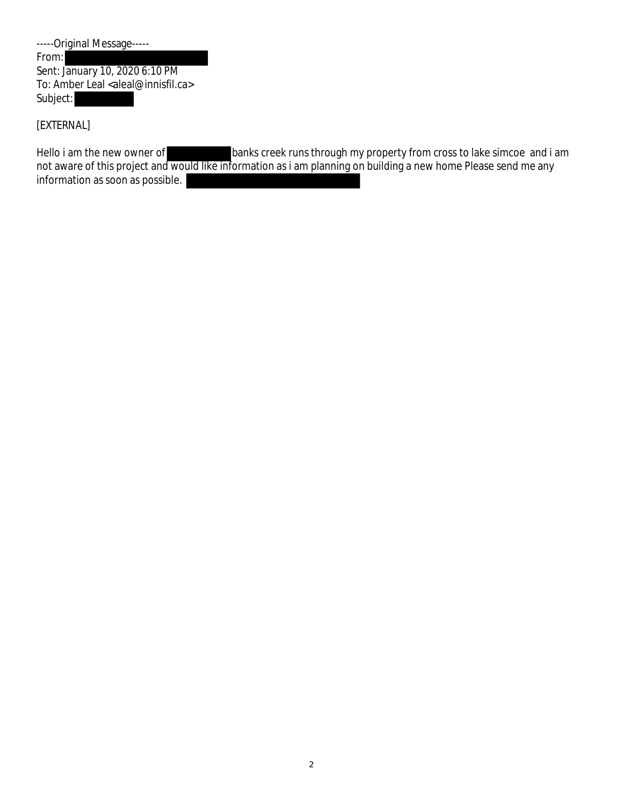| -----Original Message-----                             |  |  |
|--------------------------------------------------------|--|--|
| From:                                                  |  |  |
| Sent: January 10, 2020 6:10 PM                         |  |  |
| To: Amber Leal <aleal@innisfil.ca></aleal@innisfil.ca> |  |  |
| Subject:                                               |  |  |

[EXTERNAL]

Hello i am the new owner of banks creek runs through my property from cross to lake simcoe and i am not aware of this project and would like information as i am planning on building a new home Please send me any information as soon as possible.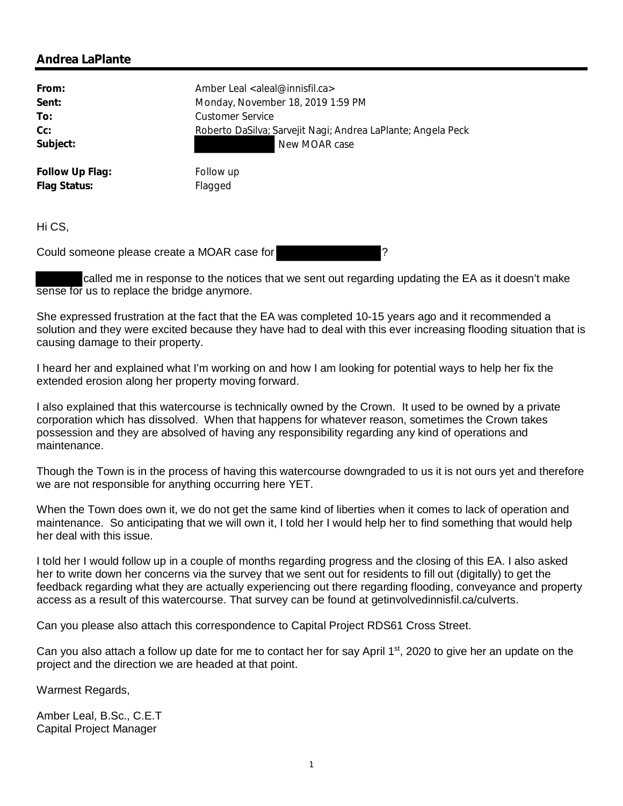| From:           | Amber Leal <aleal@innisfil.ca></aleal@innisfil.ca>           |
|-----------------|--------------------------------------------------------------|
| Sent:           | Monday, November 18, 2019 1:59 PM                            |
| To:             | Customer Service                                             |
| $Cc$ :          | Roberto DaSilva; Sarvejit Nagi; Andrea LaPlante; Angela Peck |
| Subject:        | New MOAR case                                                |
| Follow Up Flag: | Follow up                                                    |
| Flag Status:    | Flagged                                                      |

Hi CS,

Could someone please create a MOAR case for ?

called me in response to the notices that we sent out regarding updating the EA as it doesn't make sense for us to replace the bridge anymore.

She expressed frustration at the fact that the EA was completed 10-15 years ago and it recommended a solution and they were excited because they have had to deal with this ever increasing flooding situation that is causing damage to their property.

I heard her and explained what I'm working on and how I am looking for potential ways to help her fix the extended erosion along her property moving forward.

I also explained that this watercourse is technically owned by the Crown. It used to be owned by a private corporation which has dissolved. When that happens for whatever reason, sometimes the Crown takes possession and they are absolved of having any responsibility regarding any kind of operations and maintenance.

Though the Town is in the process of having this watercourse downgraded to us it is not ours yet and therefore we are not responsible for anything occurring here YET.

When the Town does own it, we do not get the same kind of liberties when it comes to lack of operation and maintenance. So anticipating that we will own it, I told her I would help her to find something that would help her deal with this issue.

I told her I would follow up in a couple of months regarding progress and the closing of this EA. I also asked her to write down her concerns via the survey that we sent out for residents to fill out (digitally) to get the feedback regarding what they are actually experiencing out there regarding flooding, conveyance and property access as a result of this watercourse. That survey can be found at getinvolvedinnisfil.ca/culverts.

Can you please also attach this correspondence to Capital Project RDS61 Cross Street.

Can you also attach a follow up date for me to contact her for say April  $1<sup>st</sup>$ , 2020 to give her an update on the project and the direction we are headed at that point.

Warmest Regards,

Amber Leal, B.Sc., C.E.T Capital Project Manager